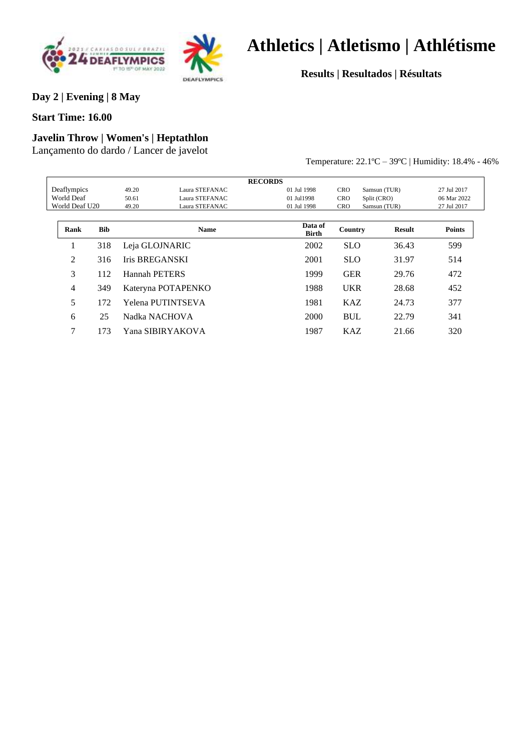



**Results | Resultados | Résultats**

#### **Day 2 | Evening | 8 May**

**Start Time: 16.00**

### **Javelin Throw | Women's | Heptathlon**

Lançamento do dardo / Lancer de javelot

Temperature: 22.1ºC – 39ºC | Humidity: 18.4% - 46%

|                |            |                       |                    | <b>RECORDS</b>   |            |               |               |
|----------------|------------|-----------------------|--------------------|------------------|------------|---------------|---------------|
| Deaflympics    |            | 49.20                 | Laura STEFANAC     | 01 Jul 1998      | <b>CRO</b> | Samsun (TUR)  | 27 Jul 2017   |
| World Deaf     |            | 50.61                 | Laura STEFANAC     | 01 Jul1998       | <b>CRO</b> | Split (CRO)   | 06 Mar 2022   |
| World Deaf U20 |            | 49.20                 | Laura STEFANAC     | 01 Jul 1998      | <b>CRO</b> | Samsun (TUR)  | 27 Jul 2017   |
| Rank           | <b>Bib</b> |                       | <b>Name</b>        | Data of<br>Birth | Country    | <b>Result</b> | <b>Points</b> |
|                | 318        |                       | Leja GLOJNARIC     | 2002             | <b>SLO</b> | 36.43         | 599           |
| $\overline{2}$ | 316        | <b>Iris BREGANSKI</b> |                    | 2001             | <b>SLO</b> | 31.97         | 514           |
| 3              | 112        | Hannah PETERS         |                    | 1999             | <b>GER</b> | 29.76         | 472           |
| 4              | 349        |                       | Kateryna POTAPENKO | 1988             | <b>UKR</b> | 28.68         | 452           |
| 5              | 172        |                       | Yelena PUTINTSEVA  | 1981             | <b>KAZ</b> | 24.73         | 377           |
| 6              | 25         |                       | Nadka NACHOVA      | 2000             | <b>BUL</b> | 22.79         | 341           |
| 7              | 173        |                       | Yana SIBIRYAKOVA   | 1987             | <b>KAZ</b> | 21.66         | 320           |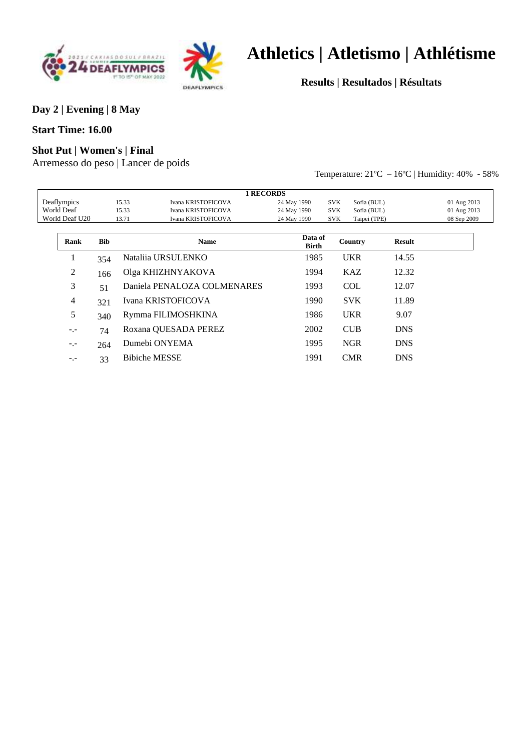



**Results | Resultados | Résultats**

**Day 2 | Evening | 8 May**

#### **Start Time: 16.00**

#### **Shot Put | Women's | Final**

Arremesso do peso | Lancer de poids

Temperature: 21ºC – 16ºC | Humidity: 40% - 58%

|                |            | <b>1 RECORDS</b>            |                         |                            |               |             |
|----------------|------------|-----------------------------|-------------------------|----------------------------|---------------|-------------|
| Deaflympics    |            | 15.33<br>Ivana KRISTOFICOVA | 24 May 1990             | Sofia (BUL)<br><b>SVK</b>  |               | 01 Aug 2013 |
| World Deaf     |            | 15.33<br>Ivana KRISTOFICOVA | 24 May 1990             | <b>SVK</b><br>Sofia (BUL)  |               | 01 Aug 2013 |
| World Deaf U20 |            | Ivana KRISTOFICOVA<br>13.71 | 24 May 1990             | <b>SVK</b><br>Taipei (TPE) |               | 08 Sep 2009 |
|                |            |                             |                         |                            |               |             |
| Rank           | <b>Bib</b> | <b>Name</b>                 | Data of<br><b>Birth</b> | Country                    | <b>Result</b> |             |
| 1              | 354        | Natalija URSULENKO          | 1985                    | <b>UKR</b>                 | 14.55         |             |
| 2              | 166        | Olga KHIZHNYAKOVA           | 1994                    | <b>KAZ</b>                 | 12.32         |             |
| 3              | 51         | Daniela PENALOZA COLMENARES | 1993                    | <b>COL</b>                 | 12.07         |             |
| 4              | 321        | Ivana KRISTOFICOVA          | 1990                    | <b>SVK</b>                 | 11.89         |             |
| 5              | 340        | Rymma FILIMOSHKINA          | 1986                    | <b>UKR</b>                 | 9.07          |             |
| $-1$           | 74         | Roxana QUESADA PEREZ        | 2002                    | <b>CUB</b>                 | <b>DNS</b>    |             |
| $-1$           | 264        | Dumebi ONYEMA               | 1995                    | <b>NGR</b>                 | <b>DNS</b>    |             |
| $-1$           | 33         | <b>Bibiche MESSE</b>        | 1991                    | <b>CMR</b>                 | <b>DNS</b>    |             |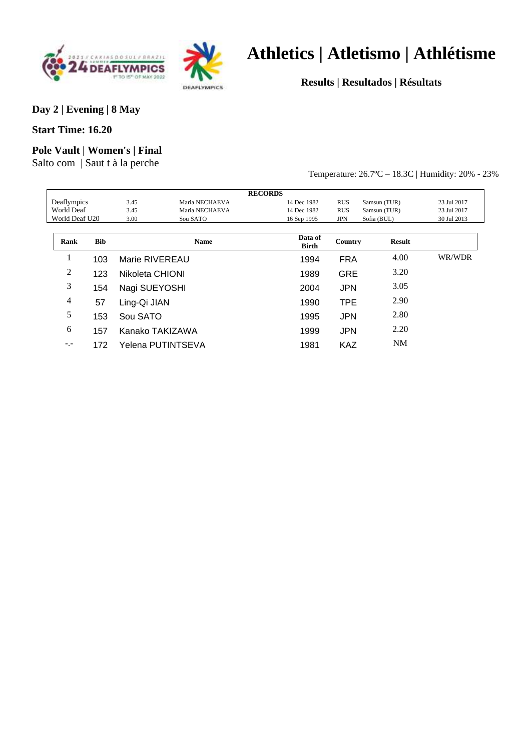



**Results | Resultados | Résultats**

**Day 2 | Evening | 8 May**

**Start Time: 16.20**

#### **Pole Vault | Women's | Final**

Salto com | Saut t à la perche

Temperature: 26.7ºC – 18.3C | Humidity: 20% - 23%

|                |     |                 |                   | <b>RECORDS</b>   |            |               |             |
|----------------|-----|-----------------|-------------------|------------------|------------|---------------|-------------|
| Deaflympics    |     | 3.45            | Maria NECHAEVA    | 14 Dec 1982      | <b>RUS</b> | Samsun (TUR)  | 23 Jul 2017 |
| World Deaf     |     | 3.45            | Maria NECHAEVA    | 14 Dec 1982      | <b>RUS</b> | Samsun (TUR)  | 23 Jul 2017 |
| World Deaf U20 |     | 3.00            | Sou SATO          | 16 Sep 1995      | <b>JPN</b> | Sofia (BUL)   | 30 Jul 2013 |
| Rank           | Bib |                 | <b>Name</b>       | Data of<br>Birth | Country    | <b>Result</b> |             |
| T              | 103 | Marie RIVEREAU  |                   | 1994             | <b>FRA</b> | 4.00          | WR/WDR      |
| 2              | 123 | Nikoleta CHIONI |                   | 1989             | <b>GRE</b> | 3.20          |             |
| 3              | 154 | Nagi SUEYOSHI   |                   | 2004             | <b>JPN</b> | 3.05          |             |
| 4              | 57  | Ling-Qi JIAN    |                   | 1990             | <b>TPE</b> | 2.90          |             |
| 5              | 153 | Sou SATO        |                   | 1995             | <b>JPN</b> | 2.80          |             |
| 6              | 157 |                 | Kanako TAKIZAWA   | 1999             | <b>JPN</b> | 2.20          |             |
| $- - -$        | 172 |                 | Yelena PUTINTSEVA | 1981             | KAZ        | <b>NM</b>     |             |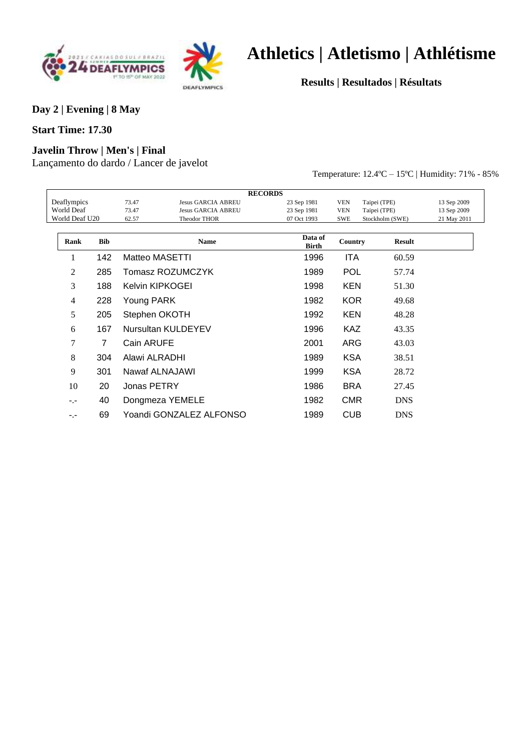



**Results | Resultados | Résultats**

**Day 2 | Evening | 8 May**

#### **Start Time: 17.30**

#### **Javelin Throw | Men's | Final**

Lançamento do dardo / Lancer de javelot

Temperature: 12.4ºC – 15ºC | Humidity: 71% - 85%

|                |                |               |                           | <b>RECORDS</b>          |            |                 |             |
|----------------|----------------|---------------|---------------------------|-------------------------|------------|-----------------|-------------|
| Deaflympics    |                | 73.47         | <b>Jesus GARCIA ABREU</b> | 23 Sep 1981             | <b>VEN</b> | Taipei (TPE)    | 13 Sep 2009 |
| World Deaf     |                | 73.47         | <b>Jesus GARCIA ABREU</b> | 23 Sep 1981             | <b>VEN</b> | Taipei (TPE)    | 13 Sep 2009 |
| World Deaf U20 |                | 62.57         | Theodor THOR              | 07 Oct 1993             | <b>SWE</b> | Stockholm (SWE) | 21 May 2011 |
|                |                |               |                           |                         |            |                 |             |
| Rank           | <b>Bib</b>     |               | <b>Name</b>               | Data of<br><b>Birth</b> | Country    | <b>Result</b>   |             |
| 1              | 142            |               | Matteo MASETTI            | 1996                    | <b>ITA</b> | 60.59           |             |
| 2              | 285            |               | Tomasz ROZUMCZYK          | 1989                    | <b>POL</b> | 57.74           |             |
| 3              | 188            |               | Kelvin KIPKOGEI           | 1998                    | <b>KEN</b> | 51.30           |             |
| 4              | 228            | Young PARK    |                           | 1982                    | <b>KOR</b> | 49.68           |             |
| 5              | 205            | Stephen OKOTH |                           | 1992                    | <b>KEN</b> | 48.28           |             |
| 6              | 167            |               | Nursultan KULDEYEV        | 1996                    | <b>KAZ</b> | 43.35           |             |
| 7              | $\overline{7}$ | Cain ARUFE    |                           | 2001                    | ARG        | 43.03           |             |
| 8              | 304            | Alawi ALRADHI |                           | 1989                    | <b>KSA</b> | 38.51           |             |
| 9              | 301            |               | Nawaf ALNAJAWI            | 1999                    | <b>KSA</b> | 28.72           |             |
| 10             | 20             | Jonas PETRY   |                           | 1986                    | <b>BRA</b> | 27.45           |             |
| $-1$           | 40             |               | Dongmeza YEMELE           | 1982                    | <b>CMR</b> | <b>DNS</b>      |             |
| $-1 -$         | 69             |               | Yoandi GONZALEZ ALFONSO   | 1989                    | <b>CUB</b> | <b>DNS</b>      |             |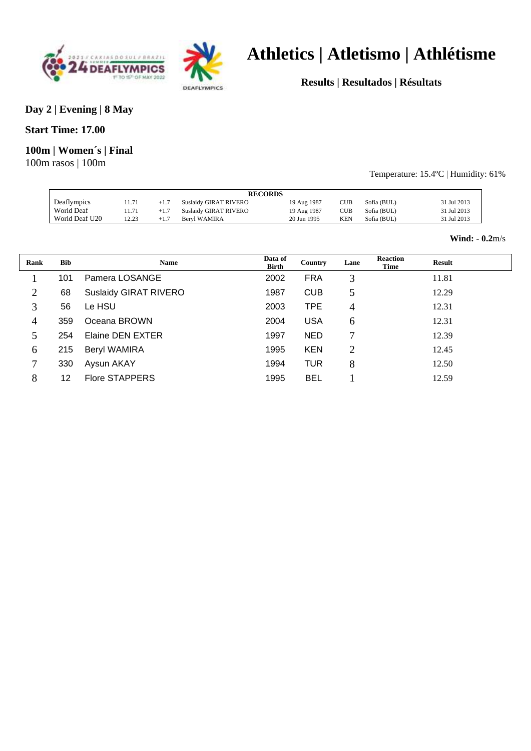



**Results | Resultados | Résultats**

#### **Day 2 | Evening | 8 May**

**Start Time: 17.00**

#### **100m | Women´s | Final**

100m rasos | 100m

#### Temperature: 15.4ºC | Humidity: 61%

|                |       |        |                              | <b>RECORDS</b> |     |             |             |
|----------------|-------|--------|------------------------------|----------------|-----|-------------|-------------|
|                |       |        |                              |                |     |             |             |
| Deaflympics    | 11.71 | $+1.7$ | <b>Suslaidy GIRAT RIVERO</b> | 19 Aug 1987    | CUB | Sofia (BUL) | 31 Jul 2013 |
| World Deaf     | 11.71 | $+1.7$ | Suslaidy GIRAT RIVERO        | 19 Aug 1987    | CUB | Sofia (BUL) | 31 Jul 2013 |
| World Deaf U20 | 12.23 | $+1.7$ | Bervl WAMIRA                 | 20 Jun 1995    | KEN | Sofia (BUL) | 31 Jul 2013 |
|                |       |        |                              |                |     |             |             |

#### **Wind: - 0.2**m/s

| Rank | <b>Bib</b> | <b>Name</b>                  | Data of<br><b>Birth</b> | Country    | Lane           | <b>Reaction</b><br>Time | <b>Result</b> |  |
|------|------------|------------------------------|-------------------------|------------|----------------|-------------------------|---------------|--|
|      | 101        | Pamera LOSANGE               | 2002                    | <b>FRA</b> | 3              |                         | 11.81         |  |
| 2    | 68         | <b>Suslaidy GIRAT RIVERO</b> | 1987                    | <b>CUB</b> | 5              |                         | 12.29         |  |
| 3    | 56         | Le HSU                       | 2003                    | <b>TPE</b> | 4              |                         | 12.31         |  |
| 4    | 359        | Oceana BROWN                 | 2004                    | <b>USA</b> | 6              |                         | 12.31         |  |
| 5    | 254        | Elaine DEN EXTER             | 1997                    | <b>NED</b> | 7              |                         | 12.39         |  |
| 6    | 215        | <b>Beryl WAMIRA</b>          | 1995                    | <b>KEN</b> | $\overline{2}$ |                         | 12.45         |  |
| 7    | 330        | Aysun AKAY                   | 1994                    | <b>TUR</b> | 8              |                         | 12.50         |  |
| 8    | 12         | <b>Flore STAPPERS</b>        | 1995                    | <b>BEL</b> |                |                         | 12.59         |  |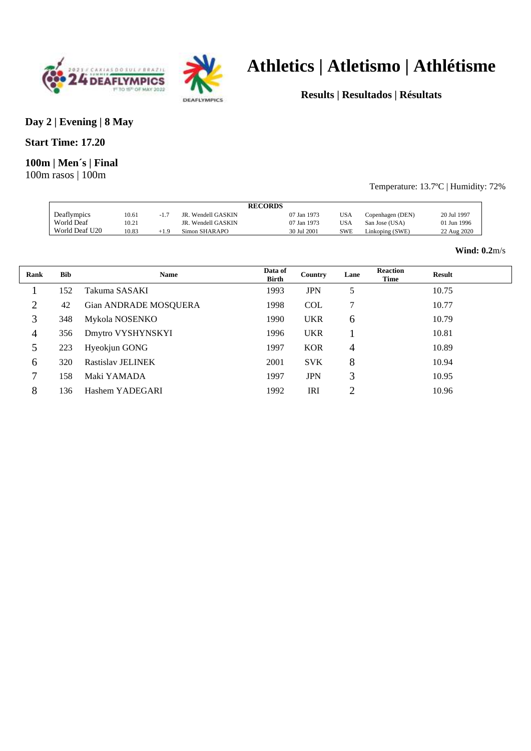



**Results | Resultados | Résultats**

#### **Day 2 | Evening | 8 May**

#### **Start Time: 17.20**

#### **100m | Men´s | Final**

100m rasos | 100m

#### Temperature: 13.7ºC | Humidity: 72%

|                |       |           |                    | <b>RECORDS</b> |            |                  |             |
|----------------|-------|-----------|--------------------|----------------|------------|------------------|-------------|
| Deaflympics    | 10.61 |           | JR. Wendell GASKIN | 07 Jan 1973    | <b>USA</b> | Copenhagen (DEN) | 20 Jul 1997 |
| World Deaf     | 10.21 |           | JR. Wendell GASKIN | 07 Jan 1973    | <b>USA</b> | San Jose (USA)   | 01 Jun 1996 |
| World Deaf U20 | 10.83 | $^{+1.9}$ | Simon SHARAPO      | 30 Jul 2001    | SWE        | Linkoping (SWE)  | 22 Aug 2020 |

#### **Wind: 0.2**m/s

| Rank | <b>Bib</b> | <b>Name</b>           | Data of<br><b>Birth</b> | Country    | Lane           | <b>Reaction</b><br><b>Time</b> | <b>Result</b> |  |
|------|------------|-----------------------|-------------------------|------------|----------------|--------------------------------|---------------|--|
|      | 152        | Takuma SASAKI         | 1993                    | <b>JPN</b> | 5              |                                | 10.75         |  |
| 2    | 42         | Gian ANDRADE MOSQUERA | 1998                    | <b>COL</b> | 7              |                                | 10.77         |  |
| 3    | 348        | Mykola NOSENKO        | 1990                    | <b>UKR</b> | 6              |                                | 10.79         |  |
| 4    | 356        | Dmytro VYSHYNSKYI     | 1996                    | <b>UKR</b> |                |                                | 10.81         |  |
| 5    | 223        | Hyeokjun GONG         | 1997                    | <b>KOR</b> | 4              |                                | 10.89         |  |
| 6    | 320        | Rastislav JELINEK     | 2001                    | <b>SVK</b> | 8              |                                | 10.94         |  |
| 7    | 158        | Maki YAMADA           | 1997                    | <b>JPN</b> | 3              |                                | 10.95         |  |
| 8    | 136        | Hashem YADEGARI       | 1992                    | IRI        | $\overline{2}$ |                                | 10.96         |  |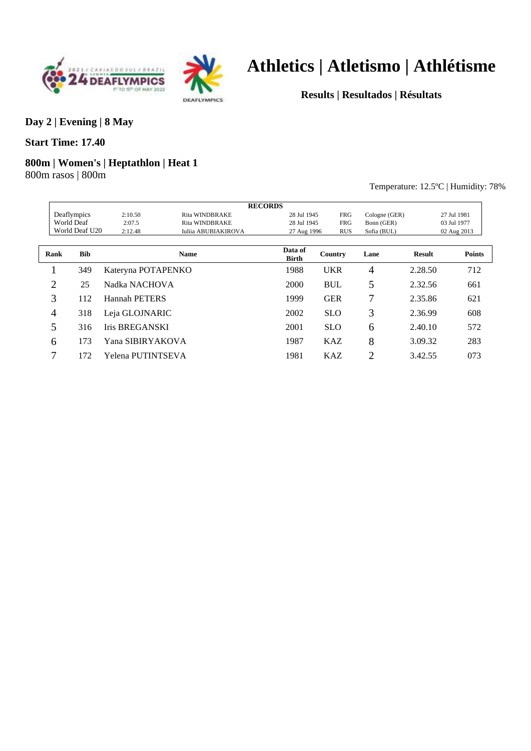



**Results | Resultados | Résultats**

#### **Day 2 | Evening | 8 May**

#### **Start Time: 17.40**

#### **800m | Women's | Heptathlon | Heat 1**

800m rasos | 800m

Temperature: 12.5ºC | Humidity: 78%

|                |                |                       |                            | <b>RECORDS</b> |            |                |               |               |
|----------------|----------------|-----------------------|----------------------------|----------------|------------|----------------|---------------|---------------|
|                | Deaflympics    | 2:10.50               | <b>Rita WINDBRAKE</b>      | 28 Jul 1945    | <b>FRG</b> | Cologne (GER)  |               | 27 Jul 1981   |
|                | World Deaf     | 2:07.5                | <b>Rita WINDBRAKE</b>      | 28 Jul 1945    | <b>FRG</b> | Bonn (GER)     |               | 03 Jul 1977   |
|                | World Deaf U20 | 2:12.48               | <b>Iuliia ABUBIAKIROVA</b> | 27 Aug 1996    | <b>RUS</b> | Sofia (BUL)    |               | 02 Aug 2013   |
| Rank           | <b>Bib</b>     |                       | <b>Name</b>                | Data of        | Country    | Lane           | <b>Result</b> | <b>Points</b> |
|                |                |                       |                            | <b>Birth</b>   |            |                |               |               |
|                | 349            | Kateryna POTAPENKO    |                            | 1988           | <b>UKR</b> | 4              | 2.28.50       | 712           |
| $\overline{2}$ | 25             | Nadka NACHOVA         |                            | 2000           | <b>BUL</b> | 5              | 2.32.56       | 661           |
| 3              | 112            | <b>Hannah PETERS</b>  |                            | 1999           | <b>GER</b> | 7              | 2.35.86       | 621           |
| 4              | 318            | Leja GLOJNARIC        |                            | 2002           | <b>SLO</b> | 3              | 2.36.99       | 608           |
| 5              | 316            | <b>Iris BREGANSKI</b> |                            | 2001           | <b>SLO</b> | 6              | 2.40.10       | 572           |
| 6              | 173            | Yana SIBIRYAKOVA      |                            | 1987           | <b>KAZ</b> | 8              | 3.09.32       | 283           |
| 7              | 172            | Yelena PUTINTSEVA     |                            | 1981           | <b>KAZ</b> | $\overline{2}$ | 3.42.55       | 073           |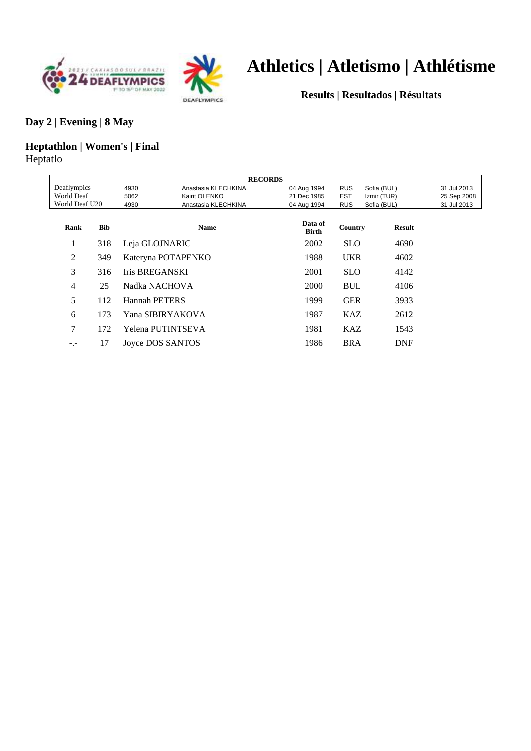



**Results | Resultados | Résultats**

#### **Day 2 | Evening | 8 May**

### **Heptathlon | Women's | Final** Heptatlo

|                |                             |                       | <b>RECORDS</b>      |                  |             |               |             |
|----------------|-----------------------------|-----------------------|---------------------|------------------|-------------|---------------|-------------|
| Deaflympics    |                             | 4930                  | Anastasia KLECHKINA | 04 Aug 1994      | <b>RUS</b>  | Sofia (BUL)   | 31 Jul 2013 |
| World Deaf     |                             | 5062                  | Kairit OLENKO       | 21 Dec 1985      | <b>EST</b>  | Izmir (TUR)   | 25 Sep 2008 |
| World Deaf U20 | Anastasia KLECHKINA<br>4930 |                       | 04 Aug 1994         | <b>RUS</b>       | Sofia (BUL) | 31 Jul 2013   |             |
|                |                             |                       |                     |                  |             |               |             |
| Rank           | <b>Bib</b>                  |                       | <b>Name</b>         | Data of<br>Birth | Country     | <b>Result</b> |             |
| ı              | 318                         | Leja GLOJNARIC        |                     | 2002             | <b>SLO</b>  | 4690          |             |
| $\overline{2}$ | 349                         |                       | Kateryna POTAPENKO  | 1988             | <b>UKR</b>  | 4602          |             |
| 3              | 316                         | <b>Iris BREGANSKI</b> |                     | 2001             | <b>SLO</b>  | 4142          |             |
| 4              | 25                          | Nadka NACHOVA         |                     | 2000             | <b>BUL</b>  | 4106          |             |
| 5              | 112                         | Hannah PETERS         |                     | 1999             | <b>GER</b>  | 3933          |             |
| 6              | 173                         |                       | Yana SIBIRYAKOVA    | 1987             | <b>KAZ</b>  | 2612          |             |
| 7              | 172                         |                       | Yelena PUTINTSEVA   | 1981             | <b>KAZ</b>  | 1543          |             |
| -.-            | 17                          |                       | Joyce DOS SANTOS    | 1986             | <b>BRA</b>  | <b>DNF</b>    |             |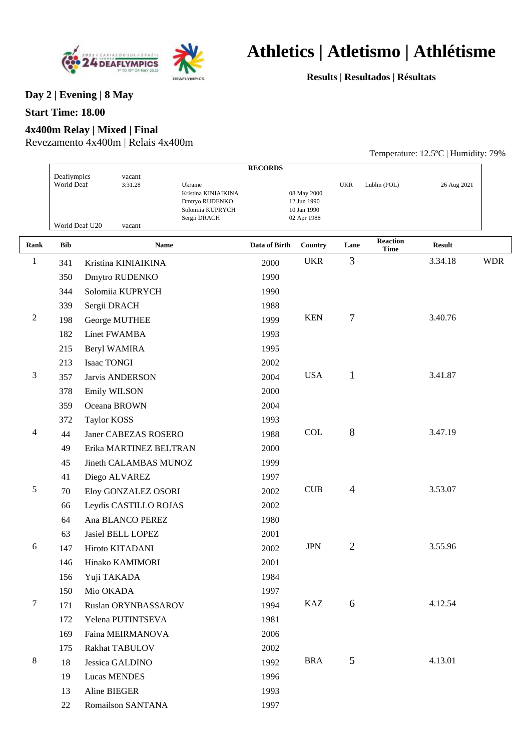



**Results | Resultados | Résultats**

Temperature: 12.5ºC | Humidity: 79%

### **Day 2 | Evening | 8 May**

#### **Start Time: 18.00**

#### **4x400m Relay | Mixed | Final**

Revezamento 4x400m | Relais 4x400m

|              |                           |                          |                                                                                      | <b>RECORDS</b> |                                                          |                |                                |               |            |
|--------------|---------------------------|--------------------------|--------------------------------------------------------------------------------------|----------------|----------------------------------------------------------|----------------|--------------------------------|---------------|------------|
|              | Deaflympics<br>World Deaf | vacant<br>3:31.28        | Ukraine<br>Kristina KINIAIKINA<br>Dmtryo RUDENKO<br>Solomiia KUPRYCH<br>Sergii DRACH |                | 08 May 2000<br>12 Jun 1990<br>10 Jan 1990<br>02 Apr 1988 | <b>UKR</b>     | Lublin (POL)                   | 26 Aug 2021   |            |
|              |                           | World Deaf U20<br>vacant |                                                                                      |                |                                                          |                |                                |               |            |
| Rank         | <b>Bib</b>                | <b>Name</b>              |                                                                                      | Data of Birth  | Country                                                  | Lane           | <b>Reaction</b><br><b>Time</b> | <b>Result</b> |            |
| $\mathbf{1}$ | 341                       | Kristina KINIAIKINA      |                                                                                      | 2000           | <b>UKR</b>                                               | 3              |                                | 3.34.18       | <b>WDR</b> |
|              | 350                       | Dmytro RUDENKO           |                                                                                      | 1990           |                                                          |                |                                |               |            |
|              | 344                       | Solomiia KUPRYCH         |                                                                                      | 1990           |                                                          |                |                                |               |            |
|              | 339                       | Sergii DRACH             |                                                                                      | 1988           |                                                          |                |                                |               |            |
| 2            | 198                       | George MUTHEE            |                                                                                      | 1999           | <b>KEN</b>                                               | 7              |                                | 3.40.76       |            |
|              | 182                       | Linet FWAMBA             |                                                                                      | 1993           |                                                          |                |                                |               |            |
|              | 215                       | Beryl WAMIRA             |                                                                                      | 1995           |                                                          |                |                                |               |            |
|              | 213                       | <b>Isaac TONGI</b>       |                                                                                      | 2002           |                                                          |                |                                |               |            |
| 3            | 357                       | <b>Jarvis ANDERSON</b>   |                                                                                      | 2004           | <b>USA</b>                                               | $\mathbf{1}$   |                                | 3.41.87       |            |
|              | 378                       | Emily WILSON             |                                                                                      | 2000           |                                                          |                |                                |               |            |
|              | 359                       | Oceana BROWN             |                                                                                      | 2004           |                                                          |                |                                |               |            |
|              | 372                       | <b>Taylor KOSS</b>       |                                                                                      | 1993           |                                                          |                |                                |               |            |
| 4            | 44                        | Janer CABEZAS ROSERO     |                                                                                      | 1988           | <b>COL</b>                                               | 8              |                                | 3.47.19       |            |
|              | 49                        | Erika MARTINEZ BELTRAN   |                                                                                      | 2000           |                                                          |                |                                |               |            |
|              | 45                        | Jineth CALAMBAS MUNOZ    |                                                                                      | 1999           |                                                          |                |                                |               |            |
|              | 41                        | Diego ALVAREZ            |                                                                                      | 1997           |                                                          |                |                                |               |            |
| 5            | 70                        | Eloy GONZALEZ OSORI      |                                                                                      | 2002           | CUB                                                      | $\overline{4}$ |                                | 3.53.07       |            |
|              | 66                        | Leydis CASTILLO ROJAS    |                                                                                      | 2002           |                                                          |                |                                |               |            |
|              | 64                        | Ana BLANCO PEREZ         |                                                                                      | 1980           |                                                          |                |                                |               |            |
|              | 63                        | Jasiel BELL LOPEZ        |                                                                                      | 2001           |                                                          |                |                                |               |            |
| 6            | 147                       | Hiroto KITADANI          |                                                                                      | 2002           | <b>JPN</b>                                               | $\overline{2}$ |                                | 3.55.96       |            |
|              | 146                       | Hinako KAMIMORI          |                                                                                      | 2001           |                                                          |                |                                |               |            |
|              | 156                       | Yuji TAKADA              |                                                                                      | 1984           |                                                          |                |                                |               |            |
|              | 150                       | Mio OKADA                |                                                                                      | 1997           |                                                          |                |                                |               |            |
| 7            | 171                       | Ruslan ORYNBASSAROV      |                                                                                      | 1994           | <b>KAZ</b>                                               | 6              |                                | 4.12.54       |            |
|              | 172                       | Yelena PUTINTSEVA        |                                                                                      | 1981           |                                                          |                |                                |               |            |
|              | 169                       | Faina MEIRMANOVA         |                                                                                      | 2006           |                                                          |                |                                |               |            |
|              | 175                       | Rakhat TABULOV           |                                                                                      | 2002           |                                                          |                |                                |               |            |
| 8            | 18                        | Jessica GALDINO          |                                                                                      | 1992           | <b>BRA</b>                                               | 5              |                                | 4.13.01       |            |
|              | 19                        | Lucas MENDES             |                                                                                      | 1996           |                                                          |                |                                |               |            |
|              | 13                        | Aline BIEGER             |                                                                                      | 1993           |                                                          |                |                                |               |            |
|              | 22                        | Romailson SANTANA        |                                                                                      | 1997           |                                                          |                |                                |               |            |